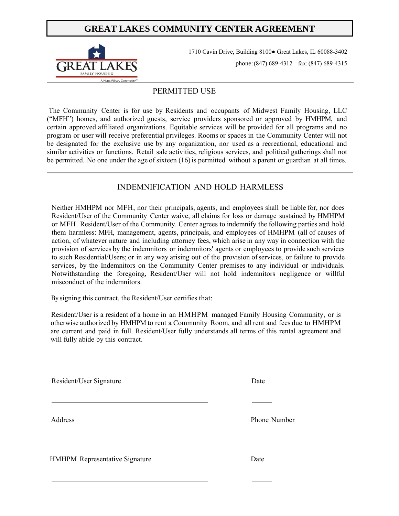# **GREAT LAKES COMMUNITY CENTER AGREEMENT**



1710 Cavin Drive, Building 8100● Great Lakes, IL 60088-3402 phone:(847) 689-4312 fax: (847) 689-4315

### PERMITTED USE

 The Community Center is for use by Residents and occupants of Midwest Family Housing, LLC ("MFH") homes, and authorized guests, service providers sponsored or approved by HMHPM, and certain approved affiliated organizations. Equitable services will be provided for all programs and no program or user will receive preferential privileges. Rooms or spaces in the Community Center will not be designated for the exclusive use by any organization, nor used as a recreational, educational and similar activities or functions. Retail sale activities, religious services, and political gatherings shall not be permitted. No one under the age of sixteen (16) is permitted without a parent or guardian at all times.

## INDEMNIFICATION AND HOLD HARMLESS

Neither HMHPM nor MFH, nor their principals, agents, and employees shall be liable for, nor does Resident/User of the Community Center waive, all claims for loss or damage sustained by HMHPM or MFH. Resident/User of the Community. Center agrees to indemnify the following parties and hold them harmless: MFH, management, agents, principals, and employees of HMHPM (all of causes of action, of whatever nature and including attorney fees, which arise in any way in connection with the provision of services by the indemnitors or indemnitors' agents or employees to provide such services to such Residential/Users; or in any way arising out of the provision of services, or failure to provide services, by the Indemnitors on the Community Center premises to any individual or individuals. Notwithstanding the foregoing, Resident/User will not hold indemnitors negligence or willful misconduct of the indemnitors.

By signing this contract, the Resident/User certifies that:

Resident/User is a resident of a home in an HMHPM managed Family Housing Community, or is otherwise authorized by HMHPM to rent a Community Room, and all rent and fees due to HMHPM are current and paid in full. Resident/User fully understands all terms of this rental agreement and will fully abide by this contract.

Resident/User Signature Date Address Phone Number <u> 1980 - Johann Stein, marwolaethau a bh</u> HMHPM Representative Signature Date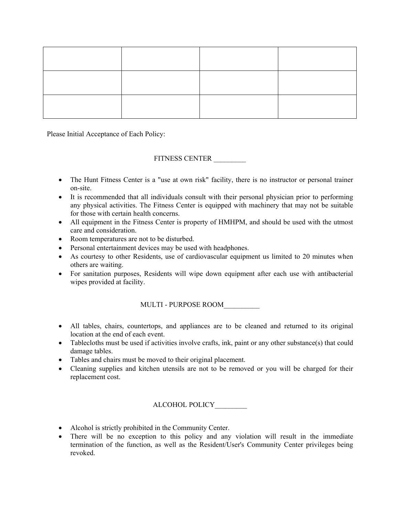Please Initial Acceptance of Each Policy:

#### FITNESS CENTER \_\_\_\_\_\_\_\_\_

- The Hunt Fitness Center is a "use at own risk" facility, there is no instructor or personal trainer on-site.
- It is recommended that all individuals consult with their personal physician prior to performing any physical activities. The Fitness Center is equipped with machinery that may not be suitable for those with certain health concerns.
- All equipment in the Fitness Center is property of HMHPM, and should be used with the utmost care and consideration.
- Room temperatures are not to be disturbed.
- Personal entertainment devices may be used with headphones.
- As courtesy to other Residents, use of cardiovascular equipment us limited to 20 minutes when others are waiting.
- For sanitation purposes, Residents will wipe down equipment after each use with antibacterial wipes provided at facility.

MULTI - PURPOSE ROOM\_\_\_\_\_\_\_\_\_\_

- All tables, chairs, countertops, and appliances are to be cleaned and returned to its original location at the end of each event.
- Tablecloths must be used if activities involve crafts, ink, paint or any other substance(s) that could damage tables.
- Tables and chairs must be moved to their original placement.
- Cleaning supplies and kitchen utensils are not to be removed or you will be charged for their replacement cost.

ALCOHOL POLICY\_\_\_\_\_\_\_\_\_

- Alcohol is strictly prohibited in the Community Center.
- There will be no exception to this policy and any violation will result in the immediate termination of the function, as well as the Resident/User's Community Center privileges being revoked.